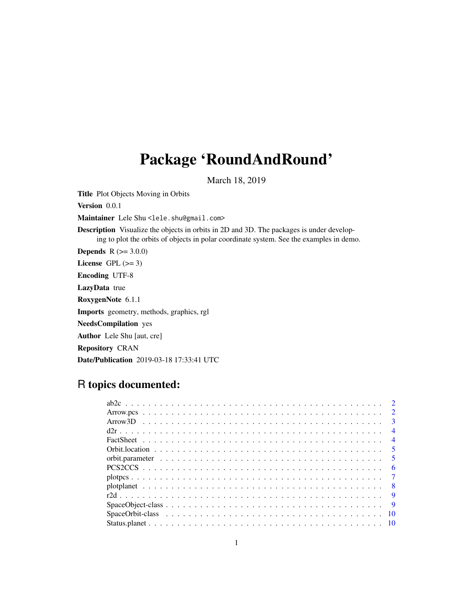## Package 'RoundAndRound'

March 18, 2019

Title Plot Objects Moving in Orbits

Version 0.0.1

Maintainer Lele Shu <lele.shu@gmail.com>

Description Visualize the objects in orbits in 2D and 3D. The packages is under developing to plot the orbits of objects in polar coordinate system. See the examples in demo.

**Depends**  $R (= 3.0.0)$ 

License GPL  $(>= 3)$ 

Encoding UTF-8

LazyData true

RoxygenNote 6.1.1

Imports geometry, methods, graphics, rgl

NeedsCompilation yes

Author Lele Shu [aut, cre]

Repository CRAN

Date/Publication 2019-03-18 17:33:41 UTC

### R topics documented:

|  |  |  |  |  |  |  |  |  |  |  |  |  |  |  |  |  |  |  | $\overline{2}$  |
|--|--|--|--|--|--|--|--|--|--|--|--|--|--|--|--|--|--|--|-----------------|
|  |  |  |  |  |  |  |  |  |  |  |  |  |  |  |  |  |  |  | $\mathcal{E}$   |
|  |  |  |  |  |  |  |  |  |  |  |  |  |  |  |  |  |  |  | $\overline{4}$  |
|  |  |  |  |  |  |  |  |  |  |  |  |  |  |  |  |  |  |  | $\overline{4}$  |
|  |  |  |  |  |  |  |  |  |  |  |  |  |  |  |  |  |  |  | $\sqrt{5}$      |
|  |  |  |  |  |  |  |  |  |  |  |  |  |  |  |  |  |  |  | $5\overline{)}$ |
|  |  |  |  |  |  |  |  |  |  |  |  |  |  |  |  |  |  |  | -6              |
|  |  |  |  |  |  |  |  |  |  |  |  |  |  |  |  |  |  |  | $\overline{7}$  |
|  |  |  |  |  |  |  |  |  |  |  |  |  |  |  |  |  |  |  | $\overline{8}$  |
|  |  |  |  |  |  |  |  |  |  |  |  |  |  |  |  |  |  |  |                 |
|  |  |  |  |  |  |  |  |  |  |  |  |  |  |  |  |  |  |  | - 9             |
|  |  |  |  |  |  |  |  |  |  |  |  |  |  |  |  |  |  |  | 10              |
|  |  |  |  |  |  |  |  |  |  |  |  |  |  |  |  |  |  |  |                 |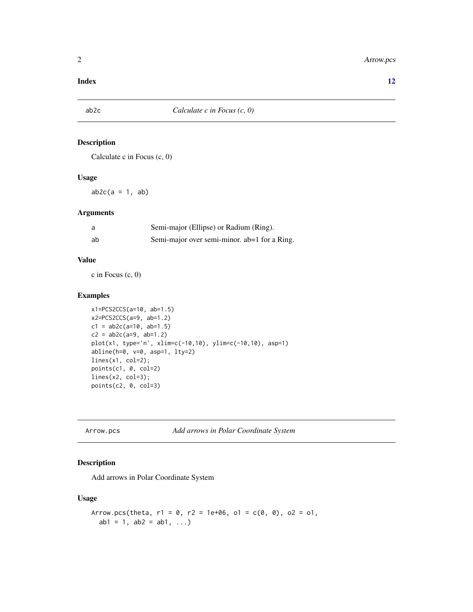#### <span id="page-1-0"></span>**Index** [12](#page-11-0)

#### Description

Calculate c in Focus (c, 0)

#### Usage

 $ab2c(a = 1, ab)$ 

#### Arguments

| a  | Semi-major (Ellipse) or Radium (Ring).       |
|----|----------------------------------------------|
| ab | Semi-major over semi-minor. ab=1 for a Ring. |

#### Value

c in Focus (c, 0)

#### Examples

```
x1=PCS2CCS(a=10, ab=1.5)
x2=PCS2CCS(a=9, ab=1.2)
c1 = ab2c(a=10, ab=1.5)c2 = ab2c(a=9, ab=1.2)plot(x1, type='n', xlim=c(-10,10), ylim=c(-10,10), asp=1)
abline(h=0, v=0, asp=1, lty=2)
lines(x1, col=2);
points(c1, 0, col=2)
lines(x2, col=3);
points(c2, 0, col=3)
```
Arrow.pcs *Add arrows in Polar Coordinate System*

#### Description

Add arrows in Polar Coordinate System

#### Usage

```
Arrow.pcs(theta, r1 = 0, r2 = 1e+06, 01 = c(0, 0), 02 = 01,
  ab1 = 1, ab2 = ab1, ...)
```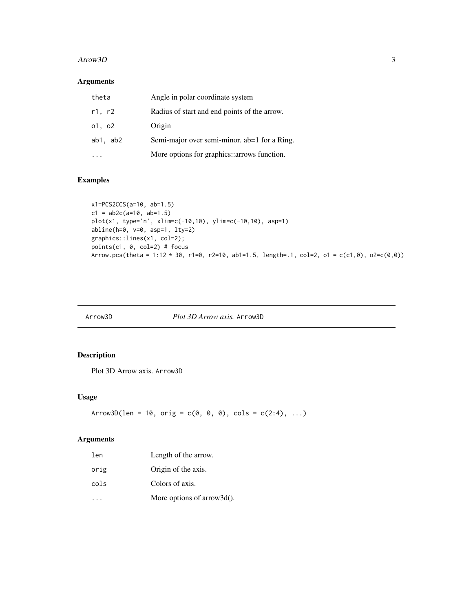#### <span id="page-2-0"></span> $A$ rrow $3D$  3

#### Arguments

| theta    | Angle in polar coordinate system             |
|----------|----------------------------------------------|
| r1, r2   | Radius of start and end points of the arrow. |
| o1, o2   | Origin                                       |
| ab1, ab2 | Semi-major over semi-minor. ab=1 for a Ring. |
|          | More options for graphics::arrows function.  |

#### Examples

```
x1=PCS2CCS(a=10, ab=1.5)
c1 = ab2c(a=10, ab=1.5)plot(x1, type='n', xlim=c(-10,10), ylim=c(-10,10), asp=1)
abline(h=0, v=0, asp=1, lty=2)
graphics::lines(x1, col=2);
points(c1, 0, col=2) # focus
Arrow.pcs(theta = 1:12 \times 30, r1=0, r2=10, ab1=1.5, length=.1, col=2, o1 = c(c1,0), o2=c(0,0))
```
#### Arrow3D *Plot 3D Arrow axis.* Arrow3D

#### Description

Plot 3D Arrow axis. Arrow3D

#### Usage

```
Arrow3D(len = 10, orig = c(0, 0, 0), cols = c(2:4), ...)
```
#### Arguments

| len  | Length of the arrow.           |
|------|--------------------------------|
| orig | Origin of the axis.            |
| cols | Colors of axis.                |
|      | More options of arrow $3d()$ . |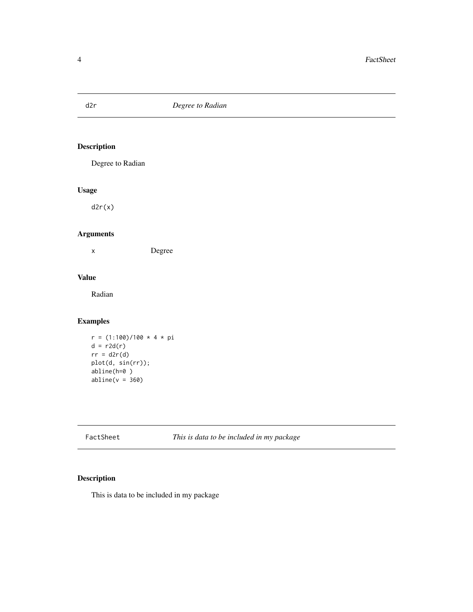<span id="page-3-0"></span>

Degree to Radian

#### Usage

 $d2r(x)$ 

#### Arguments

x Degree

#### Value

Radian

#### Examples

```
r = (1:100)/100 * 4 * pid = r2d(r)rr = d2r(d)plot(d, sin(rr));
abline(h=0 )
abline(v = 360)
```
FactSheet *This is data to be included in my package*

#### Description

This is data to be included in my package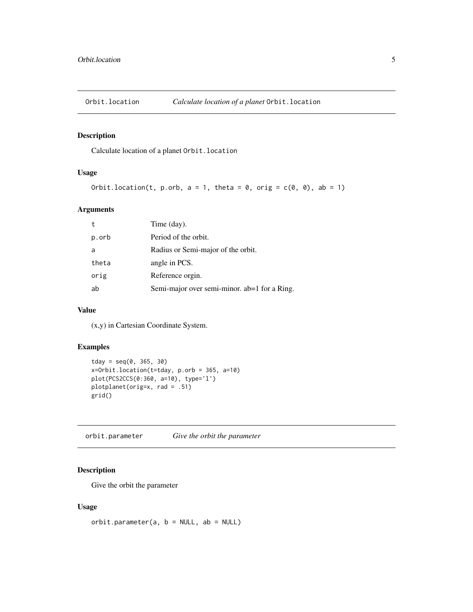<span id="page-4-0"></span>

Calculate location of a planet Orbit.location

#### Usage

```
Orbit.location(t, p.orb, a = 1, theta = 0, orig = c(0, 0), ab = 1)
```
#### Arguments

| $^{\rm t}$ | Time (day).                                  |
|------------|----------------------------------------------|
| p.orb      | Period of the orbit.                         |
| a          | Radius or Semi-major of the orbit.           |
| theta      | angle in PCS.                                |
| orig       | Reference orgin.                             |
| ab         | Semi-major over semi-minor. ab=1 for a Ring. |

#### Value

(x,y) in Cartesian Coordinate System.

#### Examples

```
tday = seq(0, 365, 30)x=Orbit.location(t=tday, p.orb = 365, a=10)
plot(PCS2CCS(0:360, a=10), type='l')
plotplanet(orig=x, rad = .51)
grid()
```
orbit.parameter *Give the orbit the parameter*

#### Description

Give the orbit the parameter

#### Usage

```
orbit.parenter(a, b = NULL, ab = NULL)
```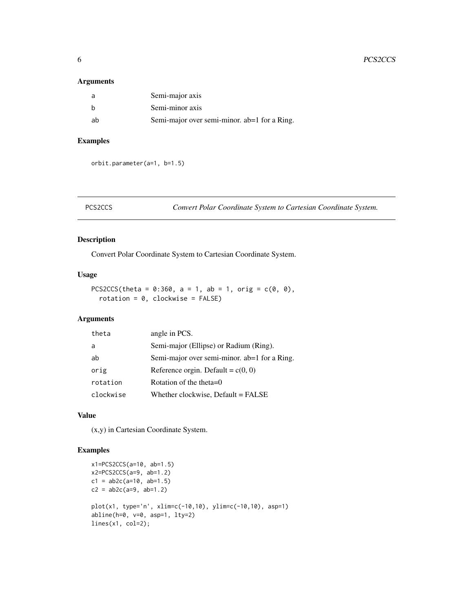#### <span id="page-5-0"></span>Arguments

|    | Semi-major axis                              |
|----|----------------------------------------------|
|    | Semi-minor axis                              |
| ah | Semi-major over semi-minor. ab=1 for a Ring. |

#### Examples

orbit.parameter(a=1, b=1.5)

PCS2CCS *Convert Polar Coordinate System to Cartesian Coordinate System.*

#### Description

Convert Polar Coordinate System to Cartesian Coordinate System.

#### Usage

```
PCS2CCS(theta = 0:360, a = 1, ab = 1, orig = c(0, 0),
  rotation = 0, clockwise = FALSE)
```
#### Arguments

| angle in PCS.                                |
|----------------------------------------------|
| Semi-major (Ellipse) or Radium (Ring).       |
| Semi-major over semi-minor. ab=1 for a Ring. |
| Reference orgin. Default = $c(0, 0)$         |
| Rotation of the theta= $0$                   |
| Whether clockwise, Default = FALSE           |
|                                              |

#### Value

(x,y) in Cartesian Coordinate System.

```
x1=PCS2CCS(a=10, ab=1.5)
x2=PCS2CCS(a=9, ab=1.2)
c1 = ab2c(a=10, ab=1.5)c2 = ab2c(a=9, ab=1.2)plot(x1, type='n', xlim=c(-10,10), ylim=c(-10,10), asp=1)
abline(h=0, v=0, asp=1, lty=2)
lines(x1, col=2);
```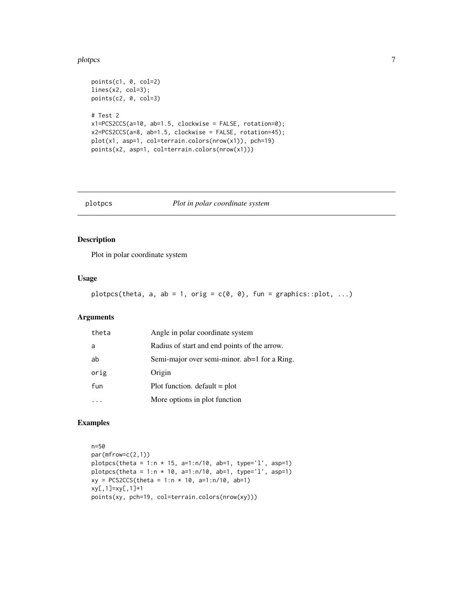#### <span id="page-6-0"></span>plotpcs and the plotpcs of the state of the state of the state of the state of the state of the state of the state of the state of the state of the state of the state of the state of the state of the state of the state of

```
points(c1, 0, col=2)
lines(x2, col=3);
points(c2, 0, col=3)
# Test 2
x1=PCS2CCS(a=10, ab=1.5, clockwise = FALSE, rotation=0);
x2=PCS2CCS(a=8, ab=1.5, clockwise = FALSE, rotation=45);
plot(x1, asp=1, col=terrain.colors(nrow(x1)), pch=19)
points(x2, asp=1, col=terrain.colors(nrow(x1)))
```
plotpcs *Plot in polar coordinate system*

#### Description

Plot in polar coordinate system

#### Usage

plotpcs(theta, a, ab = 1, orig =  $c(0, 0)$ , fun = graphics::plot, ...)

#### Arguments

| theta | Angle in polar coordinate system             |
|-------|----------------------------------------------|
| a     | Radius of start and end points of the arrow. |
| ab    | Semi-major over semi-minor. ab=1 for a Ring. |
| orig  | Origin                                       |
| fun   | Plot function. $default = plot$              |
|       | More options in plot function                |

```
n=50
par(mfrow=c(2,1))
plots(theta = 1:n * 15, a=1:n/10, ab=1, type='l', asp=1)plotpcs(theta = 1:n * 10, a=1:n/10, ab=1, type='l', asp=1)
xy = PCS2CCS(theta = 1:n * 10, a=1:n/10, ab=1)xy[,1]=xy[,1]+1
points(xy, pch=19, col=terrain.colors(nrow(xy)))
```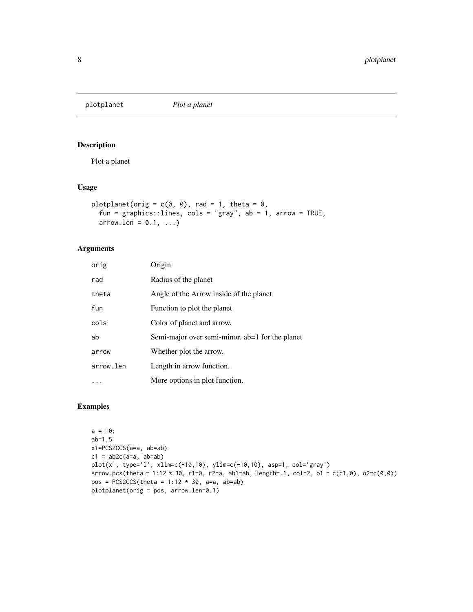<span id="page-7-0"></span>

Plot a planet

#### Usage

```
plotplanet(orig = c(0, 0), rad = 1, theta = 0,
  fun = graphics::lines, cols = "gray", ab = 1, arrow = TRUE,
  arrow.1en = 0.1, ...
```
#### Arguments

| orig      | Origin                                          |
|-----------|-------------------------------------------------|
| rad       | Radius of the planet                            |
| theta     | Angle of the Arrow inside of the planet         |
| fun       | Function to plot the planet                     |
| cols      | Color of planet and arrow.                      |
| ab        | Semi-major over semi-minor. ab=1 for the planet |
| arrow     | Whether plot the arrow.                         |
| arrow.len | Length in arrow function.                       |
|           | More options in plot function.                  |

```
a = 10;ab=1.5
x1=PCS2CCS(a=a, ab=ab)
c1 = ab2c(a=a, ab=ab)plot(x1, type='l', xlim=c(-10,10), ylim=c(-10,10), asp=1, col='gray')
Arrow.pcs(theta = 1:12 * 30, r1=0, r2=a, ab1=ab, length=.1, col=2, ol = c(c1,0), oc2=c(0,0))pos = PCS2CCS(theta = 1:12 * 30, a=a, ab=ab)plotplanet(orig = pos, arrow.len=0.1)
```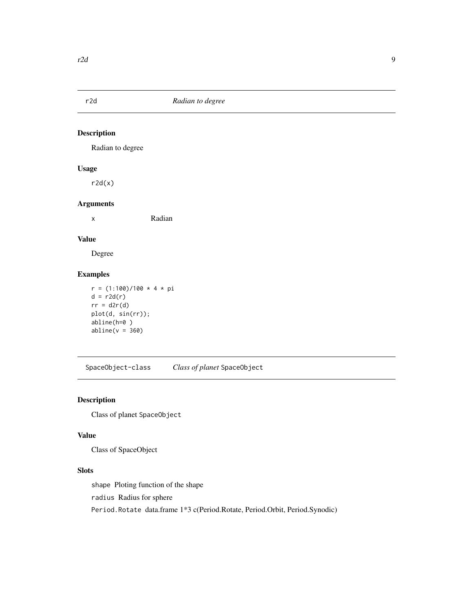<span id="page-8-0"></span>

Radian to degree

#### Usage

 $r2d(x)$ 

#### Arguments

x Radian

#### Value

Degree

#### Examples

```
r = (1:100)/100 * 4 * pid = r2d(r)rr = d2r(d)plot(d, sin(rr));
abline(h=0 )
abline(v = 360)
```
SpaceObject-class *Class of planet* SpaceObject

#### Description

Class of planet SpaceObject

#### Value

Class of SpaceObject

#### Slots

shape Ploting function of the shape

radius Radius for sphere

Period.Rotate data.frame 1\*3 c(Period.Rotate, Period.Orbit, Period.Synodic)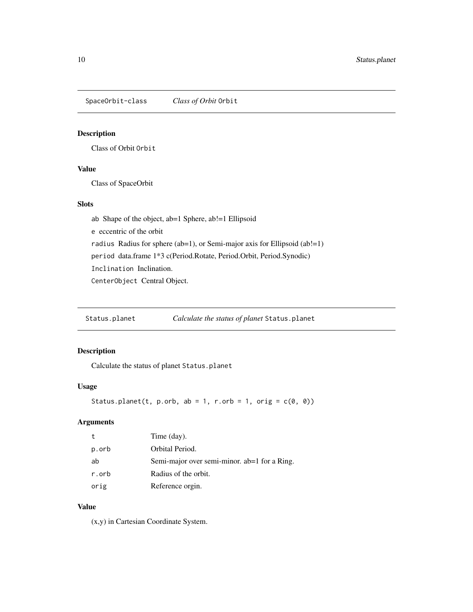<span id="page-9-0"></span>SpaceOrbit-class *Class of Orbit* Orbit

#### Description

Class of Orbit Orbit

#### Value

Class of SpaceOrbit

#### Slots

ab Shape of the object, ab=1 Sphere, ab!=1 Ellipsoid

e eccentric of the orbit

radius Radius for sphere (ab=1), or Semi-major axis for Ellipsoid (ab!=1)

period data.frame 1\*3 c(Period.Rotate, Period.Orbit, Period.Synodic)

Inclination Inclination.

CenterObject Central Object.

Status.planet *Calculate the status of planet* Status.planet

#### Description

Calculate the status of planet Status.planet

#### Usage

```
Status.planet(t, p.orb, ab = 1, r.orb = 1, orig = c(\emptyset, \emptyset))
```
#### Arguments

| t     | Time (day).                                  |
|-------|----------------------------------------------|
| p.orb | Orbital Period.                              |
| ab    | Semi-major over semi-minor. ab=1 for a Ring. |
| r.orb | Radius of the orbit.                         |
| orig  | Reference orgin.                             |

#### Value

(x,y) in Cartesian Coordinate System.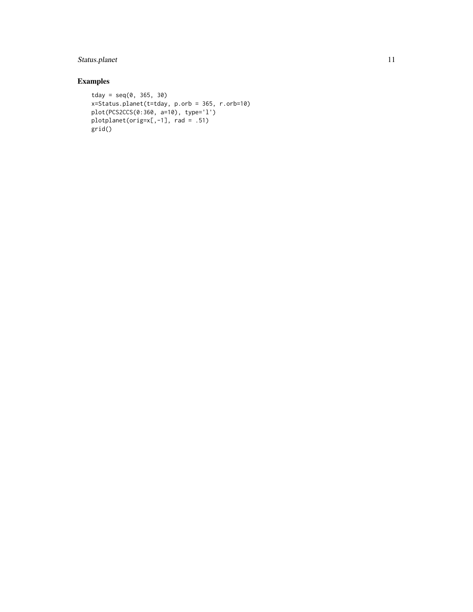#### Status.planet 11

```
tday = seq(0, 365, 30)x=Status.planet(t=tday, p.orb = 365, r.orb=10)
plot(PCS2CCS(0:360, a=10), type='l')
plotplanet(orig=x[,-1], rad = .51)
grid()
```